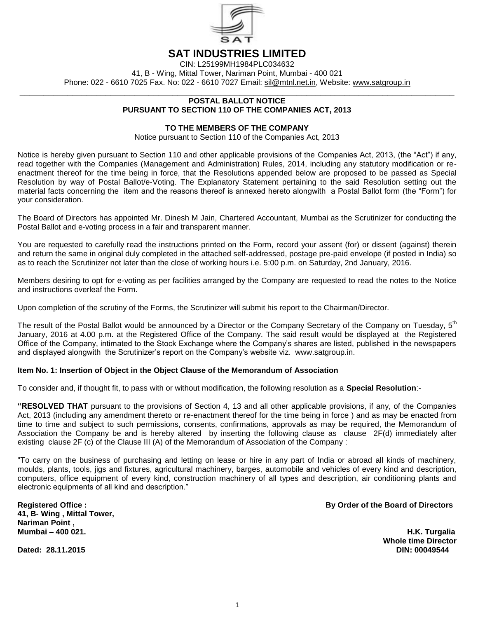

# **SAT INDUSTRIES LIMITED**

CIN: L25199MH1984PLC034632 41, B - Wing, Mittal Tower, Nariman Point, Mumbai - 400 021 Phone: 022 - 6610 7025 Fax. No: 022 - 6610 7027 Email: sil@mtnl.net.in, Website: www.satgroup.in

#### **\_\_\_\_\_\_\_\_\_\_\_\_\_\_\_\_\_\_\_\_\_\_\_\_\_\_\_\_\_\_\_\_\_\_\_\_\_\_\_\_\_\_\_\_\_\_\_\_\_\_\_\_\_\_\_\_\_\_\_\_\_\_\_\_\_\_\_\_\_\_\_\_\_\_\_\_\_\_\_\_\_\_\_\_\_\_\_\_\_\_\_ POSTAL BALLOT NOTICE PURSUANT TO SECTION 110 OF THE COMPANIES ACT, 2013**

# **TO THE MEMBERS OF THE COMPANY**

Notice pursuant to Section 110 of the Companies Act, 2013

Notice is hereby given pursuant to Section 110 and other applicable provisions of the Companies Act, 2013, (the "Act") if any, read together with the Companies (Management and Administration) Rules, 2014, including any statutory modification or reenactment thereof for the time being in force, that the Resolutions appended below are proposed to be passed as Special Resolution by way of Postal Ballot/e-Voting. The Explanatory Statement pertaining to the said Resolution setting out the material facts concerning the item and the reasons thereof is annexed hereto alongwith a Postal Ballot form (the "Form") for your consideration.

The Board of Directors has appointed Mr. Dinesh M Jain, Chartered Accountant, Mumbai as the Scrutinizer for conducting the Postal Ballot and e-voting process in a fair and transparent manner.

You are requested to carefully read the instructions printed on the Form, record your assent (for) or dissent (against) therein and return the same in original duly completed in the attached self-addressed, postage pre-paid envelope (if posted in India) so as to reach the Scrutinizer not later than the close of working hours i.e. 5:00 p.m. on Saturday, 2nd January, 2016.

Members desiring to opt for e-voting as per facilities arranged by the Company are requested to read the notes to the Notice and instructions overleaf the Form.

Upon completion of the scrutiny of the Forms, the Scrutinizer will submit his report to the Chairman/Director.

The result of the Postal Ballot would be announced by a Director or the Company Secretary of the Company on Tuesday, 5<sup>th</sup> January, 2016 at 4.00 p.m. at the Registered Office of the Company. The said result would be displayed at the Registered Office of the Company, intimated to the Stock Exchange where the Company's shares are listed, published in the newspapers and displayed alongwith the Scrutinizer's report on the Company's website viz. www.satgroup.in.

# **Item No. 1: Insertion of Object in the Object Clause of the Memorandum of Association**

To consider and, if thought fit, to pass with or without modification, the following resolution as a **Special Resolution**:-

**"RESOLVED THAT** pursuant to the provisions of Section 4, 13 and all other applicable provisions, if any, of the Companies Act, 2013 (including any amendment thereto or re-enactment thereof for the time being in force ) and as may be enacted from time to time and subject to such permissions, consents, confirmations, approvals as may be required, the Memorandum of Association the Company be and is hereby altered by inserting the following clause as clause 2F(d) immediately after existing clause 2F (c) of the Clause III (A) of the Memorandum of Association of the Company :

"To carry on the business of purchasing and letting on lease or hire in any part of India or abroad all kinds of machinery, moulds, plants, tools, jigs and fixtures, agricultural machinery, barges, automobile and vehicles of every kind and description, computers, office equipment of every kind, construction machinery of all types and description, air conditioning plants and electronic equipments of all kind and description."

**41, B- Wing , Mittal Tower, Nariman Point , Mumbai – 400 021. H.K. Turgalia**

Dated: 28.11.2015

**Registered Office : By Order of the Board of Directors**

**Whole time Director**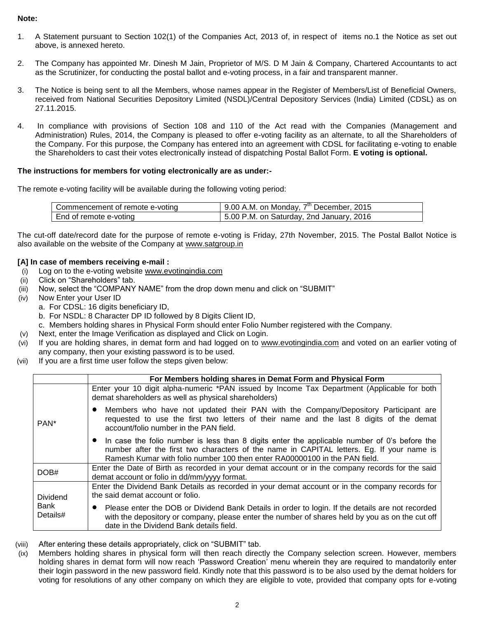# **Note:**

- 1. A Statement pursuant to Section 102(1) of the Companies Act, 2013 of, in respect of items no.1 the Notice as set out above, is annexed hereto.
- 2. The Company has appointed Mr. Dinesh M Jain, Proprietor of M/S. D M Jain & Company, Chartered Accountants to act as the Scrutinizer, for conducting the postal ballot and e-voting process, in a fair and transparent manner.
- 3. The Notice is being sent to all the Members, whose names appear in the Register of Members/List of Beneficial Owners, received from National Securities Depository Limited (NSDL)/Central Depository Services (India) Limited (CDSL) as on 27.11.2015.
- 4. In compliance with provisions of Section 108 and 110 of the Act read with the Companies (Management and Administration) Rules, 2014, the Company is pleased to offer e-voting facility as an alternate, to all the Shareholders of the Company. For this purpose, the Company has entered into an agreement with CDSL for facilitating e-voting to enable the Shareholders to cast their votes electronically instead of dispatching Postal Ballot Form. **E voting is optional.**

# **The instructions for members for voting electronically are as under:-**

The remote e-voting facility will be available during the following voting period:

| Commencement of remote e-voting | $7th$ December, 2015<br>9.00 A.M. on Monday, |
|---------------------------------|----------------------------------------------|
| End of remote e-voting          | 5.00 P.M. on Saturday, 2nd January, 2016     |

The cut-off date/record date for the purpose of remote e-voting is Friday, 27th November, 2015. The Postal Ballot Notice is also available on the website of the Company at [www.satgroup.in](http://www.satgroup.in/)

# **[A] In case of members receiving e-mail :**

- (i) Log on to the e-voting website [www.evotingindia.com](http://www.evotingindia.com/)
- (ii) Click on "Shareholders" tab.
- (iii) Now, select the "COMPANY NAME" from the drop down menu and click on "SUBMIT"
- (iv) Now Enter your User ID
	- a. For CDSL: 16 digits beneficiary ID,
	- b. For NSDL: 8 Character DP ID followed by 8 Digits Client ID,
	- c. Members holding shares in Physical Form should enter Folio Number registered with the Company.
- (v) Next, enter the Image Verification as displayed and Click on Login.
- (vi) If you are holding shares, in demat form and had logged on to [www.evotingindia.com](http://www.evotingindia.com/) and voted on an earlier voting of any company, then your existing password is to be used.
- (vii) If you are a first time user follow the steps given below:

|                                     | For Members holding shares in Demat Form and Physical Form                                                                                                                                                                                                                |  |  |
|-------------------------------------|---------------------------------------------------------------------------------------------------------------------------------------------------------------------------------------------------------------------------------------------------------------------------|--|--|
|                                     | Enter your 10 digit alpha-numeric *PAN issued by Income Tax Department (Applicable for both<br>demat shareholders as well as physical shareholders)                                                                                                                       |  |  |
| PAN <sup>*</sup>                    | Members who have not updated their PAN with the Company/Depository Participant are<br>requested to use the first two letters of their name and the last 8 digits of the demat<br>account/folio number in the PAN field.                                                   |  |  |
|                                     | • In case the folio number is less than 8 digits enter the applicable number of 0's before the<br>number after the first two characters of the name in CAPITAL letters. Eg. If your name is<br>Ramesh Kumar with folio number 100 then enter RA00000100 in the PAN field. |  |  |
| DOB#                                | Enter the Date of Birth as recorded in your demat account or in the company records for the said<br>demat account or folio in dd/mm/yyyy format.                                                                                                                          |  |  |
| <b>Dividend</b><br>Bank<br>Details# | Enter the Dividend Bank Details as recorded in your demat account or in the company records for<br>the said demat account or folio.                                                                                                                                       |  |  |
|                                     | Please enter the DOB or Dividend Bank Details in order to login. If the details are not recorded<br>with the depository or company, please enter the number of shares held by you as on the cut off<br>date in the Dividend Bank details field.                           |  |  |

- (viii) After entering these details appropriately, click on "SUBMIT" tab.
- (ix) Members holding shares in physical form will then reach directly the Company selection screen. However, members holding shares in demat form will now reach 'Password Creation' menu wherein they are required to mandatorily enter their login password in the new password field. Kindly note that this password is to be also used by the demat holders for voting for resolutions of any other company on which they are eligible to vote, provided that company opts for e-voting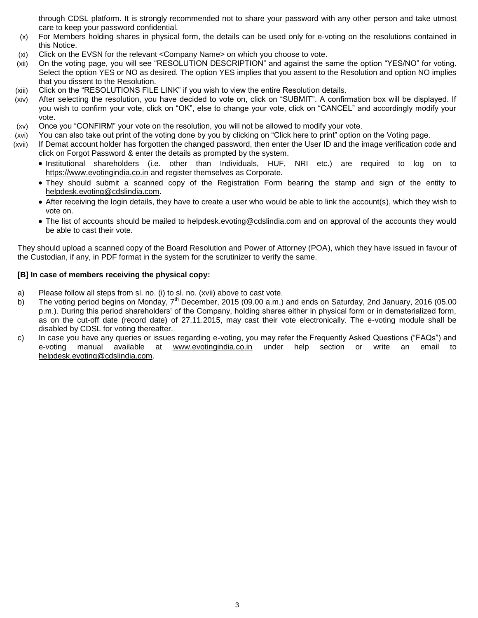through CDSL platform. It is strongly recommended not to share your password with any other person and take utmost care to keep your password confidential.

- (x) For Members holding shares in physical form, the details can be used only for e-voting on the resolutions contained in this Notice.
- (xi) Click on the EVSN for the relevant <Company Name> on which you choose to vote.
- (xii) On the voting page, you will see "RESOLUTION DESCRIPTION" and against the same the option "YES/NO" for voting. Select the option YES or NO as desired. The option YES implies that you assent to the Resolution and option NO implies that you dissent to the Resolution.
- (xiii) Click on the "RESOLUTIONS FILE LINK" if you wish to view the entire Resolution details.
- (xiv) After selecting the resolution, you have decided to vote on, click on "SUBMIT". A confirmation box will be displayed. If you wish to confirm your vote, click on "OK", else to change your vote, click on "CANCEL" and accordingly modify your vote.
- (xv) Once you "CONFIRM" your vote on the resolution, you will not be allowed to modify your vote.
- (xvi) You can also take out print of the voting done by you by clicking on "Click here to print" option on the Voting page.
- (xvii) If Demat account holder has forgotten the changed password, then enter the User ID and the image verification code and click on Forgot Password & enter the details as prompted by the system.
	- Institutional shareholders (i.e. other than Individuals, HUF, NRI etc.) are required to log on to [https://www.evotingindia.co.in](https://www.evotingindia.co.in/) and register themselves as Corporate.
	- They should submit a scanned copy of the Registration Form bearing the stamp and sign of the entity to [helpdesk.evoting@cdslindia.com.](mailto:helpdesk.evoting@cdslindia.com)
	- After receiving the login details, they have to create a user who would be able to link the account(s), which they wish to vote on.
	- The list of accounts should be mailed to helpdesk.evoting@cdslindia.com and on approval of the accounts they would be able to cast their vote.

They should upload a scanned copy of the Board Resolution and Power of Attorney (POA), which they have issued in favour of the Custodian, if any, in PDF format in the system for the scrutinizer to verify the same.

# **[B] In case of members receiving the physical copy:**

- a) Please follow all steps from sl. no. (i) to sl. no. (xvii) above to cast vote.
- b) The voting period begins on Monday, 7<sup>th</sup> December, 2015 (09.00 a.m.) and ends on Saturday, 2nd January, 2016 (05.00 p.m.). During this period shareholders' of the Company, holding shares either in physical form or in dematerialized form, as on the cut-off date (record date) of 27.11.2015, may cast their vote electronically. The e-voting module shall be disabled by CDSL for voting thereafter.
- c) In case you have any queries or issues regarding e-voting, you may refer the Frequently Asked Questions ("FAQs") and e-voting manual available at [www.evotingindia.co.in](http://www.evotingindia.co.in/) under help section or write an email to [helpdesk.evoting@cdslindia.com.](mailto:helpdesk.evoting@cdslindia.com)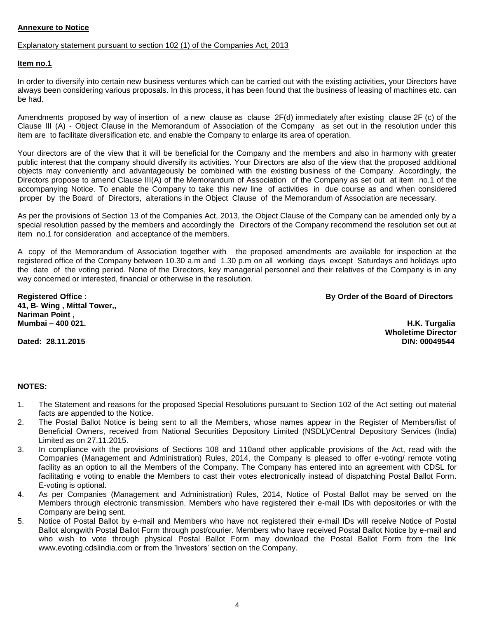# **Annexure to Notice**

#### Explanatory statement pursuant to section 102 (1) of the Companies Act, 2013

# **Item no.1**

In order to diversify into certain new business ventures which can be carried out with the existing activities, your Directors have always been considering various proposals. In this process, it has been found that the business of leasing of machines etc. can be had.

Amendments proposed by way of insertion of a new clause as clause 2F(d) immediately after existing clause 2F (c) of the Clause III (A) - Object Clause in the Memorandum of Association of the Company as set out in the resolution under this item are to facilitate diversification etc. and enable the Company to enlarge its area of operation.

Your directors are of the view that it will be beneficial for the Company and the members and also in harmony with greater public interest that the company should diversify its activities. Your Directors are also of the view that the proposed additional objects may conveniently and advantageously be combined with the existing business of the Company. Accordingly, the Directors propose to amend Clause III(A) of the Memorandum of Association of the Company as set out at item no.1 of the accompanying Notice. To enable the Company to take this new line of activities in due course as and when considered proper by the Board of Directors, alterations in the Object Clause of the Memorandum of Association are necessary.

As per the provisions of Section 13 of the Companies Act, 2013, the Object Clause of the Company can be amended only by a special resolution passed by the members and accordingly the Directors of the Company recommend the resolution set out at item no.1 for consideration and acceptance of the members.

A copy of the Memorandum of Association together with the proposed amendments are available for inspection at the registered office of the Company between 10.30 a.m and 1.30 p.m on all working days except Saturdays and holidays upto the date of the voting period. None of the Directors, key managerial personnel and their relatives of the Company is in any way concerned or interested, financial or otherwise in the resolution.

**41, B- Wing , Mittal Tower,, Nariman Point , Mumbai – 400 021. H.K. Turgalia**

**Registered Office : By Order of the Board of Directors**

Dated: 28.11.2015

**Wholetime Director**

#### **NOTES:**

- 1. The Statement and reasons for the proposed Special Resolutions pursuant to Section 102 of the Act setting out material facts are appended to the Notice.
- 2. The Postal Ballot Notice is being sent to all the Members, whose names appear in the Register of Members/list of Beneficial Owners, received from National Securities Depository Limited (NSDL)/Central Depository Services (India) Limited as on 27.11.2015.
- 3. In compliance with the provisions of Sections 108 and 110and other applicable provisions of the Act, read with the Companies (Management and Administration) Rules, 2014, the Company is pleased to offer e-voting/ remote voting facility as an option to all the Members of the Company. The Company has entered into an agreement with CDSL for facilitating e voting to enable the Members to cast their votes electronically instead of dispatching Postal Ballot Form. E-voting is optional.
- 4. As per Companies (Management and Administration) Rules, 2014, Notice of Postal Ballot may be served on the Members through electronic transmission. Members who have registered their e-mail IDs with depositories or with the Company are being sent.
- 5. Notice of Postal Ballot by e-mail and Members who have not registered their e-mail IDs will receive Notice of Postal Ballot alongwith Postal Ballot Form through post/courier. Members who have received Postal Ballot Notice by e-mail and who wish to vote through physical Postal Ballot Form may download the Postal Ballot Form from the link www.evoting.cdslindia.com or from the 'Investors' section on the Company.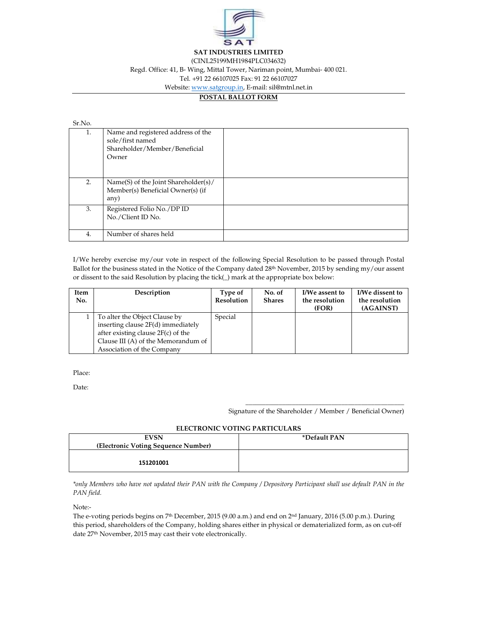

Regd. Office: 41, B- Wing, Mittal Tower, Nariman point, Mumbai- 400 021.

Tel. +91 22 66107025 Fax: 91 22 66107027

Website: www.satgroup.in, E-mail: sil@mtnl.net.in

# **POSTAL BALLOT FORM**

#### Sr.No.

| 1. | Name and registered address of the<br>sole/first named<br>Shareholder/Member/Beneficial<br>Owner |  |
|----|--------------------------------------------------------------------------------------------------|--|
| 2. | Name(S) of the Joint Shareholder(s)/<br>Member(s) Beneficial Owner(s) (if<br>any)                |  |
| 3. | Registered Folio No./DP ID<br>No./Client ID No.                                                  |  |
| 4. | Number of shares held                                                                            |  |

I/We hereby exercise my/our vote in respect of the following Special Resolution to be passed through Postal Ballot for the business stated in the Notice of the Company dated 28th November, 2015 by sending my/our assent or dissent to the said Resolution by placing the tick(\_) mark at the appropriate box below:

| Item<br>No. | Description                                                                                                                                                                      | Type of<br><b>Resolution</b> | No. of<br><b>Shares</b> | I/We assent to<br>the resolution<br>(FOR) | I/We dissent to<br>the resolution<br>(AGAINST) |
|-------------|----------------------------------------------------------------------------------------------------------------------------------------------------------------------------------|------------------------------|-------------------------|-------------------------------------------|------------------------------------------------|
|             | To alter the Object Clause by<br>inserting clause 2F(d) immediately<br>after existing clause $2F(c)$ of the<br>Clause III (A) of the Memorandum of<br>Association of the Company | Special                      |                         |                                           |                                                |

Place:

Date:

Signature of the Shareholder / Member / Beneficial Owner)

\_\_\_\_\_\_\_\_\_\_\_\_\_\_\_\_\_\_\_\_\_\_\_\_\_\_\_\_\_\_\_\_\_\_\_\_\_\_\_\_\_\_\_\_\_\_\_\_

| <b>EVSN</b>                         | *Default PAN |
|-------------------------------------|--------------|
| (Electronic Voting Sequence Number) |              |
|                                     |              |
| 151201001                           |              |
|                                     |              |

*\*only Members who have not updated their PAN with the Company / Depository Participant shall use default PAN in the PAN field.* 

Note:-

The e-voting periods begins on 7<sup>th</sup> December, 2015 (9.00 a.m.) and end on 2<sup>nd</sup> January, 2016 (5.00 p.m.). During this period, shareholders of the Company, holding shares either in physical or dematerialized form, as on cut-off date 27th November, 2015 may cast their vote electronically.